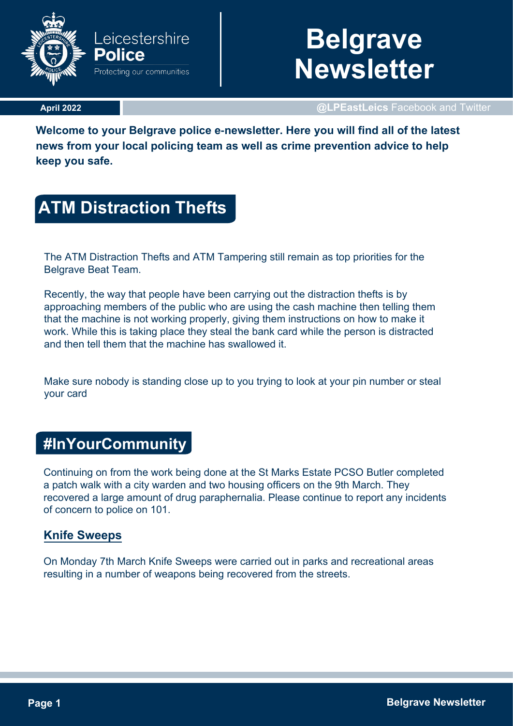

# **Belgrave Newsletter**

#### **April 2022**

**@LPEastLeics** Facebook and Twitter

**Welcome to your Belgrave police e-newsletter. Here you will find all of the latest news from your local policing team as well as crime prevention advice to help keep you safe.**

# **ATM Distraction Thefts**

The ATM Distraction Thefts and ATM Tampering still remain as top priorities for the Belgrave Beat Team.

Recently, the way that people have been carrying out the distraction thefts is by approaching members of the public who are using the cash machine then telling them that the machine is not working properly, giving them instructions on how to make it work. While this is taking place they steal the bank card while the person is distracted and then tell them that the machine has swallowed it.

Make sure nobody is standing close up to you trying to look at your pin number or steal your card

## **#InYourCommunity**

Continuing on from the work being done at the St Marks Estate PCSO Butler completed a patch walk with a city warden and two housing officers on the 9th March. They recovered a large amount of drug paraphernalia. Please continue to report any incidents of concern to police on 101.

### **Knife Sweeps**

On Monday 7th March Knife Sweeps were carried out in parks and recreational areas resulting in a number of weapons being recovered from the streets.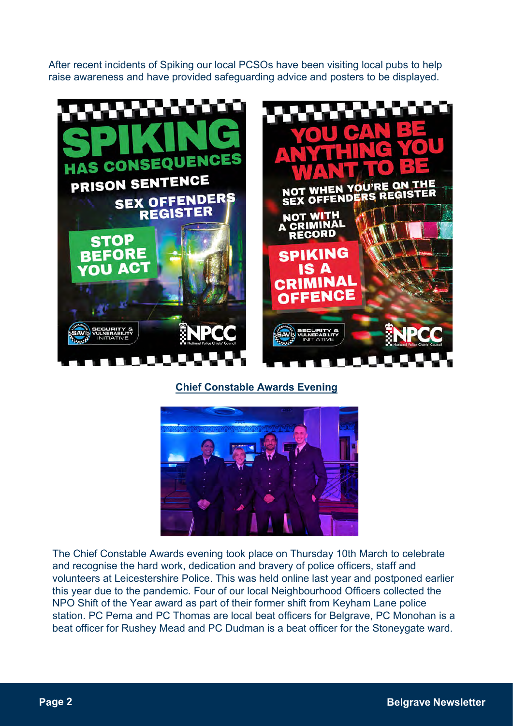After recent incidents of Spiking our local PCSOs have been visiting local pubs to help raise awareness and have provided safeguarding advice and posters to be displayed.



### **Chief Constable Awards Evening**



The Chief Constable Awards evening took place on Thursday 10th March to celebrate and recognise the hard work, dedication and bravery of police officers, staff and volunteers at Leicestershire Police. This was held online last year and postponed earlier this year due to the pandemic. Four of our local Neighbourhood Officers collected the NPO Shift of the Year award as part of their former shift from Keyham Lane police station. PC Pema and PC Thomas are local beat officers for Belgrave, PC Monohan is a beat officer for Rushey Mead and PC Dudman is a beat officer for the Stoneygate ward.